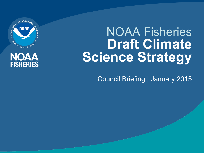

#### **NOAA FISHERIES**

## NOAA Fisheries **Draft Climate Science Strategy**

Council Briefing | January 2015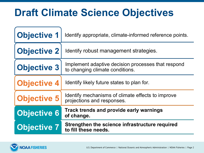## **Draft Climate Science Objectives**

| <b>Objective 1</b> | Identify appropriate, climate-informed reference points.                              |
|--------------------|---------------------------------------------------------------------------------------|
| <b>Objective 2</b> | Identify robust management strategies.                                                |
| <b>Objective 3</b> | Implement adaptive decision processes that respond<br>to changing climate conditions. |
| <b>Objective 4</b> | Identify likely future states to plan for.                                            |
| <b>Objective 5</b> | Identify mechanisms of climate effects to improve<br>projections and responses.       |
| Objective 6        | Track trends and provide early warnings<br>of change.                                 |
| <b>Objective 7</b> | Strengthen the science infrastructure required<br>to fill these needs.                |

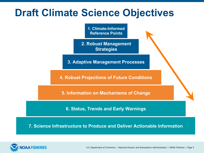#### **Draft Climate Science Objectives**

**1. Climate-Informed Reference Points** 

**2. Robust Management Strategies** 

**3. Adaptive Management Processes** 

**4. Robust Projections of Future Conditions** 

**5. Information on Mechanisms of Change** 

**6. Status, Trends and Early Warnings** 

**7. Science Infrastructure to Produce and Deliver Actionable Information** 

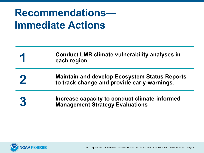## **Recommendations— Immediate Actions**

- **1 Conduct LMR climate vulnerability analyses in each region.**
- **2** Maintain and develop Ecosystem Status Reports<br> **2** to track change and provide early warnings **to track change and provide early-warnings.**
- **3** Increase capacity to conduct climate-informed **Management Strategy Evaluations**

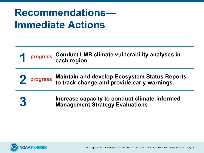### **Recommendations— Immediate Actions**

**progress 1 Conduct LMR climate vulnerability analyses in each region.** 

**progress 2 Maintain and develop Ecosystem Status Reports to track change and provide early-warnings.** 

**3** Increase capacity to conduct climate-informed **Management Strategy Evaluations** 

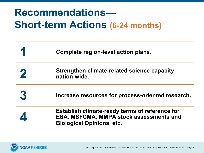## **Recommendations— Short-term Actions (6-24 months)**

| Complete region-level action plans.                                                                                                  |
|--------------------------------------------------------------------------------------------------------------------------------------|
| Strengthen climate-related science capacity<br>nation-wide.                                                                          |
| Increase resources for process-oriented research.                                                                                    |
| <b>Establish climate-ready terms of reference for</b><br>ESA, MSFCMA, MMPA stock assessments and<br><b>Biological Opinions, etc.</b> |